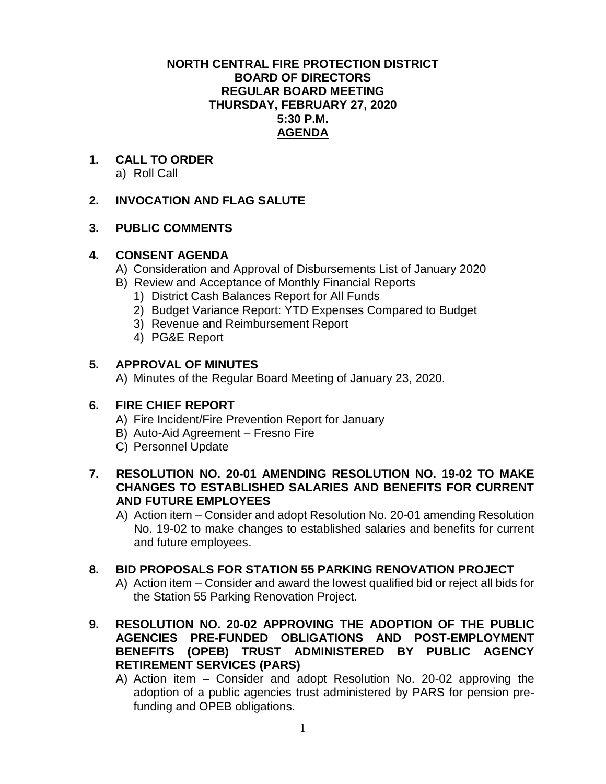### **NORTH CENTRAL FIRE PROTECTION DISTRICT BOARD OF DIRECTORS REGULAR BOARD MEETING THURSDAY, FEBRUARY 27, 2020 5:30 P.M. AGENDA**

**1. CALL TO ORDER** a) Roll Call

# **2. INVOCATION AND FLAG SALUTE**

## **3. PUBLIC COMMENTS**

## **4. CONSENT AGENDA**

- A) Consideration and Approval of Disbursements List of January 2020
- B) Review and Acceptance of Monthly Financial Reports
	- 1) District Cash Balances Report for All Funds
	- 2) Budget Variance Report: YTD Expenses Compared to Budget
	- 3) Revenue and Reimbursement Report
	- 4) PG&E Report

# **5. APPROVAL OF MINUTES**

A) Minutes of the Regular Board Meeting of January 23, 2020.

# **6. FIRE CHIEF REPORT**

- A) Fire Incident/Fire Prevention Report for January
- B) Auto-Aid Agreement Fresno Fire
- C) Personnel Update
- **7. RESOLUTION NO. 20-01 AMENDING RESOLUTION NO. 19-02 TO MAKE CHANGES TO ESTABLISHED SALARIES AND BENEFITS FOR CURRENT AND FUTURE EMPLOYEES** 
	- A) Action item Consider and adopt Resolution No. 20-01 amending Resolution No. 19-02 to make changes to established salaries and benefits for current and future employees.

### **8. BID PROPOSALS FOR STATION 55 PARKING RENOVATION PROJECT**

A) Action item – Consider and award the lowest qualified bid or reject all bids for the Station 55 Parking Renovation Project.

- **9. RESOLUTION NO. 20-02 APPROVING THE ADOPTION OF THE PUBLIC AGENCIES PRE-FUNDED OBLIGATIONS AND POST-EMPLOYMENT BENEFITS (OPEB) TRUST ADMINISTERED BY PUBLIC AGENCY RETIREMENT SERVICES (PARS)**
	- A) Action item Consider and adopt Resolution No. 20-02 approving the adoption of a public agencies trust administered by PARS for pension prefunding and OPEB obligations.